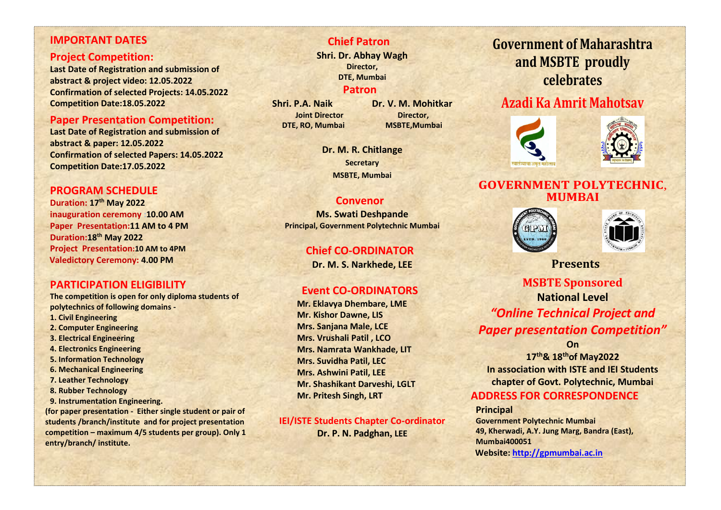#### **IMPORTANT DATES**

#### **Project Competition:**

**Last Date of Registration and submission of abstract & project video: 12.05.2022 Confirmation of selected Projects: 14.05.2022 Competition Date:18.05.2022**

#### **Paper Presentation Competition:**

**Last Date of Registration and submission of abstract & paper: 12.05.2022 Confirmation of selected Papers: 14.05.2022 Competition Date:17.05.2022**

## **PROGRAM SCHEDULE**

**Duration: 17th May 2022 inauguration ceremony :10.00 AM Paper Presentation:11 AM to 4 PM Duration:18th May 2022 Project Presentation:10 AM to 4PM Valedictory Ceremony: 4.00 PM**

## **PARTICIPATION ELIGIBILITY**

**The competition is open for only diploma students of polytechnics of following domains -**

- **1. Civil Engineering**
- **2. Computer Engineering**
- **3. Electrical Engineering**
- **4. Electronics Engineering**
- **5. Information Technology**
- **6. Mechanical Engineering**
- **7. Leather Technology**
- **8. Rubber Technology**
- **9. Instrumentation Engineering.**

**(for paper presentation - Either single student or pair of students /branch/institute and for project presentation competition – maximum 4/5 students per group). Only 1 entry/branch/ institute.**

### **Chief Patron**

**Shri. Dr. Abhay Wagh Director, DTE, Mumbai**

#### **Patron**

**Joint Director Director, DTE, RO, Mumbai MSBTE,Mumbai**

**Shri. P.A. Naik Dr. V. M. Mohitkar**

**Dr. M. R. Chitlange Secretary MSBTE, Mumbai**

#### **Convenor**

**Ms. Swati Deshpande Principal, Government Polytechnic Mumbai**

## **Chief CO-ORDINATOR**

**Dr. M. S. Narkhede, LEE**

### **Event CO-ORDINATORS**

 **Mr. Eklavya Dhembare, LME Mr. Kishor Dawne, LIS Mrs. Sanjana Male, LCE Mrs. Vrushali Patil , LCO Mrs. Namrata Wankhade, LIT Mrs. Suvidha Patil, LEC Mrs. Ashwini Patil, LEE Mr. Shashikant Darveshi, LGLT Mr. Pritesh Singh, LRT**

**IEI/ISTE Students Chapter Co-ordinator Dr. P. N. Padghan, LEE**

# **Government of Maharashtra and MSBTE proudly celebrates**

## **Azadi Ka Amrit Mahotsav**





## **GOVERNMENT POLYTECHNIC**, **MUMBAI**





 **Presents**

## **MSBTE Sponsored National Level** *"Online Technical Project and Paper presentation Competition"*

**On**

**17th& 18thof May2022 In association with ISTE and IEI Students chapter of Govt. Polytechnic, Mumbai**

## **ADDRESS FOR CORRESPONDENCE**

**Principal Government Polytechnic Mumbai 49, Kherwadi, A.Y. Jung Marg, Bandra (East), Mumbai400051 Website: [http://gpmumbai.ac.in](http://gpmumbai.ac.in/gpmweb/)**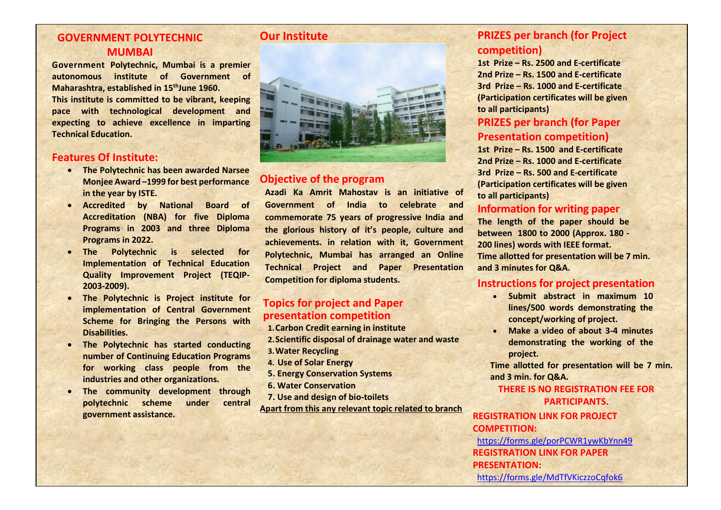## **GOVERNMENT POLYTECHNIC MUMBAI**

**Government Polytechnic, Mumbai is a premier autonomous institute of Government of Maharashtra, established in 15thJune 1960. This institute is committed to be vibrant, keeping pace with technological development and expecting to achieve excellence in imparting Technical Education.**

#### **Features Of Institute:**

- **The Polytechnic has been awarded Narsee Monjee Award –1999 for best performance in the year by ISTE.**
- **Accredited by National Board of Accreditation (NBA) for five Diploma Programs in 2003 and three Diploma Programs in 2022.**
- **The Polytechnic is selected for Implementation of Technical Education Quality Improvement Project (TEQIP-2003-2009).**
- **The Polytechnic is Project institute for implementation of Central Government Scheme for Bringing the Persons with Disabilities.**
- **The Polytechnic has started conducting number of Continuing Education Programs for working class people from the industries and other organizations.**
- **The community development through polytechnic scheme under central government assistance.**

## **Our Institute**



### **Objective of the program**

**Azadi Ka Amrit Mahostav is an initiative of Government of India to celebrate and commemorate 75 years of progressive India and the glorious history of it's people, culture and achievements. in relation with it, Government Polytechnic, Mumbai has arranged an Online Technical Project and Paper Presentation Competition for diploma students.**

### **Topics for project and Paper presentation competition**

- **1.Carbon Credit earning in institute 2.Scientific disposal of drainage water and waste 3.Water Recycling 4. Use of Solar Energy 5. Energy Conservation Systems**
- **6. Water Conservation**
- **7. Use and design of bio-toilets**

**Apart from this any relevant topic related to branch** 

## **PRIZES per branch (for Project competition)**

**1st Prize – Rs. 2500 and E-certificate 2nd Prize – Rs. 1500 and E-certificate 3rd Prize – Rs. 1000 and E-certificate (Participation certificates will be given to all participants)**

## **PRIZES per branch (for Paper Presentation competition)**

**1st Prize – Rs. 1500 and E-certificate 2nd Prize – Rs. 1000 and E-certificate 3rd Prize – Rs. 500 and E-certificate (Participation certificates will be given to all participants)**

#### **Information for writing paper**

**The length of the paper should be between 1800 to 2000 (Approx. 180 - 200 lines) words with IEEE format. Time allotted for presentation will be 7 min. and 3 minutes for Q&A.**

#### **Instructions for project presentation**

- **Submit abstract in maximum 10 lines/500 words demonstrating the concept/working of project.**
- **Make a video of about 3-4 minutes demonstrating the working of the project.**

**Time allotted for presentation will be 7 min. and 3 min. for Q&A.**

**THERE IS NO REGISTRATION FEE FOR PARTICIPANTS.**

**REGISTRATION LINK FOR PROJECT COMPETITION:** <https://forms.gle/porPCWR1ywKbYnn49> **REGISTRATION LINK FOR PAPER PRESENTATION:** https://forms.gle/MdTfVKiczzoCafok6